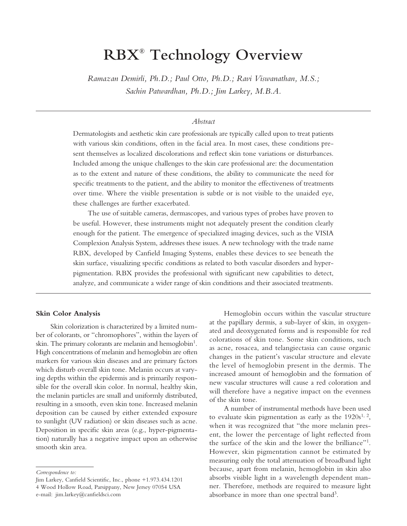# **RBX® Technology Overview**

*Ramazan Demirli, Ph.D.; Paul Otto, Ph.D.; Ravi Viswanathan, M.S.; Sachin Patwardhan, Ph.D.; Jim Larkey, M.B.A.*

# *Abstract*

Dermatologists and aesthetic skin care professionals are typically called upon to treat patients with various skin conditions, often in the facial area. In most cases, these conditions present themselves as localized discolorations and reflect skin tone variations or disturbances. Included among the unique challenges to the skin care professional are: the documentation as to the extent and nature of these conditions, the ability to communicate the need for specific treatments to the patient, and the ability to monitor the effectiveness of treatments over time. Where the visible presentation is subtle or is not visible to the unaided eye, these challenges are further exacerbated.

The use of suitable cameras, dermascopes, and various types of probes have proven to be useful. However, these instruments might not adequately present the condition clearly enough for the patient. The emergence of specialized imaging devices, such as the VISIA Complexion Analysis System, addresses these issues. A new technology with the trade name RBX, developed by Canfield Imaging Systems, enables these devices to see beneath the skin surface, visualizing specific conditions as related to both vascular disorders and hyperpigmentation. RBX provides the professional with significant new capabilities to detect, analyze, and communicate a wider range of skin conditions and their associated treatments.

#### **Skin Color Analysis**

Skin colorization is characterized by a limited number of colorants, or "chromophores", within the layers of skin. The primary colorants are melanin and hemoglobin<sup>1</sup>. High concentrations of melanin and hemoglobin are often markers for various skin diseases and are primary factors which disturb overall skin tone. Melanin occurs at varying depths within the epidermis and is primarily responsible for the overall skin color. In normal, healthy skin, the melanin particles are small and uniformly distributed, resulting in a smooth, even skin tone. Increased melanin deposition can be caused by either extended exposure to sunlight (UV radiation) or skin diseases such as acne. Deposition in specific skin areas (e.g., hyper-pigmentation) naturally has a negative impact upon an otherwise smooth skin area.

Hemoglobin occurs within the vascular structure at the papillary dermis, a sub-layer of skin, in oxygenated and deoxygenated forms and is responsible for red colorations of skin tone. Some skin conditions, such as acne, rosacea, and telangiectasia can cause organic changes in the patient's vascular structure and elevate the level of hemoglobin present in the dermis. The increased amount of hemoglobin and the formation of new vascular structures will cause a red coloration and will therefore have a negative impact on the evenness of the skin tone.

A number of instrumental methods have been used to evaluate skin pigmentation as early as the  $1920s^{1,2}$ , when it was recognized that "the more melanin present, the lower the percentage of light reflected from the surface of the skin and the lower the brilliance"<sup>1</sup>. However, skin pigmentation cannot be estimated by measuring only the total attenuation of broadband light because, apart from melanin, hemoglobin in skin also absorbs visible light in a wavelength dependent manner. Therefore, methods are required to measure light absorbance in more than one spectral band<sup>3</sup>.

*Correspondence to:*

Jim Larkey, Canfield Scientific, Inc., phone +1.973.434.1201

<sup>4</sup> Wood Hollow Road, Parsippany, New Jersey 07054 USA e-mail: jim.larkey@canfieldsci.com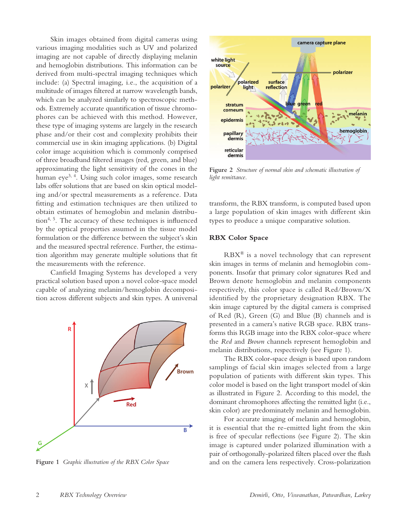Skin images obtained from digital cameras using various imaging modalities such as UV and polarized imaging are not capable of directly displaying melanin and hemoglobin distributions. This information can be derived from multi-spectral imaging techniques which include: (a) Spectral imaging, i.e., the acquisition of a multitude of images filtered at narrow wavelength bands, which can be analyzed similarly to spectroscopic methods. Extremely accurate quantification of tissue chromophores can be achieved with this method. However, these type of imaging systems are largely in the research phase and/or their cost and complexity prohibits their commercial use in skin imaging applications. (b) Digital color image acquisition which is commonly comprised of three broadband filtered images (red, green, and blue) approximating the light sensitivity of the cones in the human eye<sup>3, 4</sup>. Using such color images, some research labs offer solutions that are based on skin optical modeling and/or spectral measurements as a reference. Data fitting and estimation techniques are then utilized to obtain estimates of hemoglobin and melanin distribution4, 5. The accuracy of these techniques is influenced by the optical properties assumed in the tissue model formulation or the difference between the subject's skin and the measured spectral reference. Further, the estimation algorithm may generate multiple solutions that fit the measurements with the reference.

Canfield Imaging Systems has developed a very practical solution based upon a novel color-space model capable of analyzing melanin/hemoglobin decomposition across different subjects and skin types. A universal



**Figure 1** *Graphic illustration of the RBX Color Space*



**Figure 2** *Structure of normal skin and schematic illustration of light remittance.*

transform, the RBX transform, is computed based upon a large population of skin images with different skin types to produce a unique comparative solution.

## **RBX Color Space**

RBX® is a novel technology that can represent skin images in terms of melanin and hemoglobin components. Insofar that primary color signatures Red and Brown denote hemoglobin and melanin components respectively, this color space is called Red/Brown/X identified by the proprietary designation RBX. The skin image captured by the digital camera is comprised of Red (R), Green (G) and Blue (B) channels and is presented in a camera's native RGB space. RBX transforms this RGB image into the RBX color-space where the *Red* and *Brown* channels represent hemoglobin and melanin distributions, respectively (see Figure 1).

The RBX color-space design is based upon random samplings of facial skin images selected from a large population of patients with different skin types. This color model is based on the light transport model of skin as illustrated in Figure 2. According to this model, the dominant chromophores affecting the remitted light (i.e., skin color) are predominately melanin and hemoglobin.

For accurate imaging of melanin and hemoglobin, it is essential that the re-emitted light from the skin is free of specular reflections (see Figure 2). The skin image is captured under polarized illumination with a pair of orthogonally-polarized filters placed over the flash and on the camera lens respectively. Cross-polarization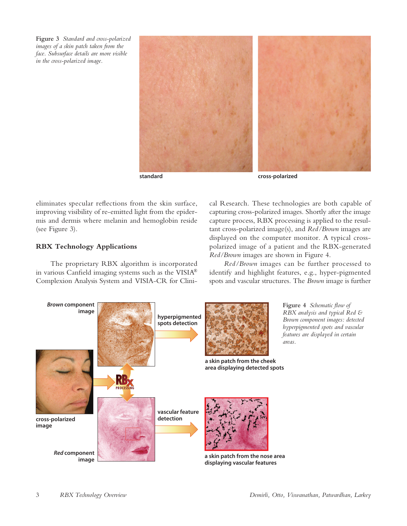**Figure 3** *Standard and cross-polarized images of a skin patch taken from the face. Subsurface details are more visible in the cross-polarized image.*



eliminates specular reflections from the skin surface, improving visibility of re-emitted light from the epidermis and dermis where melanin and hemoglobin reside (see Figure 3).

# **RBX Technology Applications**

The proprietary RBX algorithm is incorporated in various Canfield imaging systems such as the VISIA® Complexion Analysis System and VISIA-CR for Clinical Research. These technologies are both capable of capturing cross-polarized images. Shortly after the image capture process, RBX processing is applied to the resultant cross-polarized image(s), and *Red/Brown* images are displayed on the computer monitor. A typical crosspolarized image of a patient and the RBX-generated *Red/Brown* images are shown in Figure 4.

*Red/Brown* images can be further processed to identify and highlight features, e.g., hyper-pigmented spots and vascular structures. The *Brown* image is further

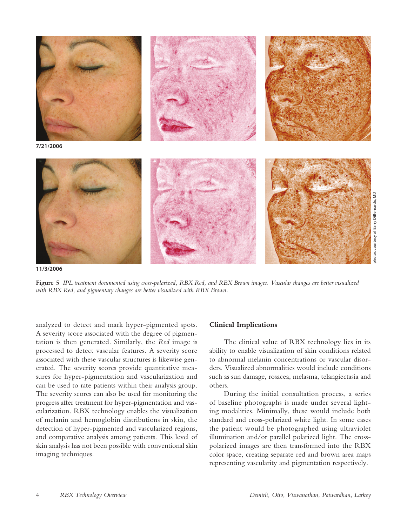

**11/3/2006**

**Figure 5** *IPL treatment documented using cross-polarized, RBX Red, and RBX Brown images. Vascular changes are better visualized with RBX Red, and pigmentary changes are better visualized with RBX Brown.* 

analyzed to detect and mark hyper-pigmented spots. A severity score associated with the degree of pigmentation is then generated. Similarly, the *Red* image is processed to detect vascular features. A severity score associated with these vascular structures is likewise generated. The severity scores provide quantitative measures for hyper-pigmentation and vascularization and can be used to rate patients within their analysis group. The severity scores can also be used for monitoring the progress after treatment for hyper-pigmentation and vascularization. RBX technology enables the visualization of melanin and hemoglobin distributions in skin, the detection of hyper-pigmented and vascularized regions, and comparative analysis among patients. This level of skin analysis has not been possible with conventional skin imaging techniques.

## **Clinical Implications**

The clinical value of RBX technology lies in its ability to enable visualization of skin conditions related to abnormal melanin concentrations or vascular disorders. Visualized abnormalities would include conditions such as sun damage, rosacea, melasma, telangiectasia and others.

During the initial consultation process, a series of baseline photographs is made under several lighting modalities. Minimally, these would include both standard and cross-polarized white light. In some cases the patient would be photographed using ultraviolet illumination and/or parallel polarized light. The crosspolarized images are then transformed into the RBX color space, creating separate red and brown area maps representing vascularity and pigmentation respectively.